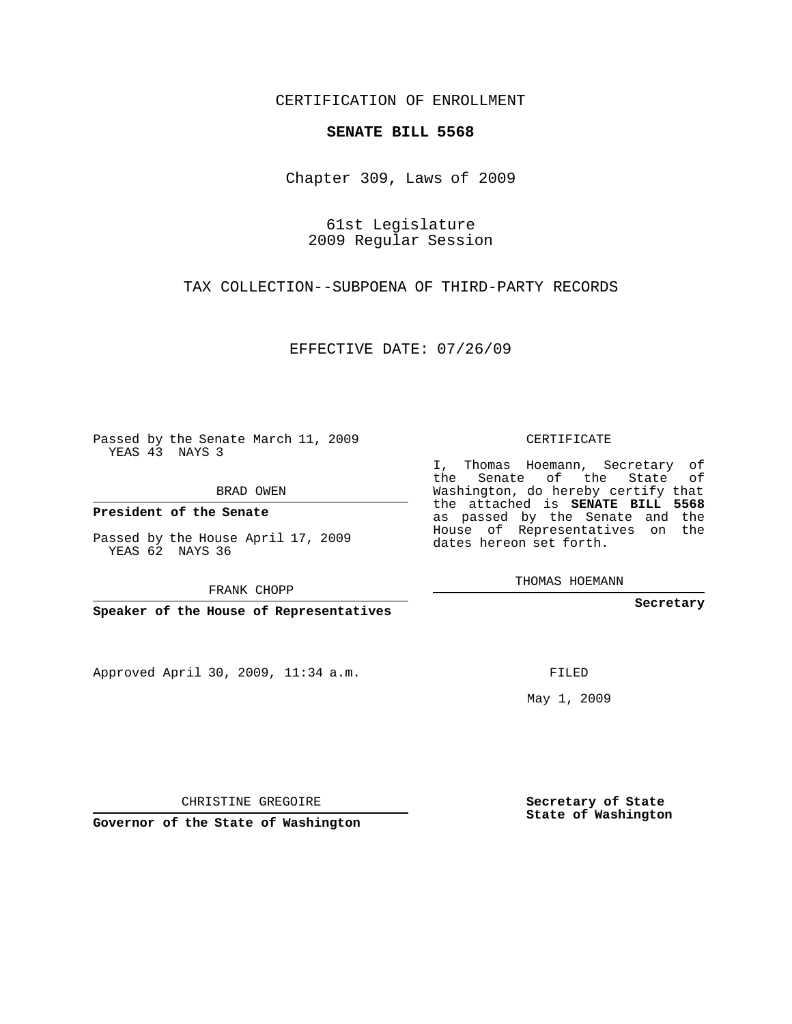## CERTIFICATION OF ENROLLMENT

## **SENATE BILL 5568**

Chapter 309, Laws of 2009

61st Legislature 2009 Regular Session

TAX COLLECTION--SUBPOENA OF THIRD-PARTY RECORDS

EFFECTIVE DATE: 07/26/09

Passed by the Senate March 11, 2009 YEAS 43 NAYS 3

BRAD OWEN

**President of the Senate**

Passed by the House April 17, 2009 YEAS 62 NAYS 36

FRANK CHOPP

**Speaker of the House of Representatives**

Approved April 30, 2009, 11:34 a.m.

CERTIFICATE

I, Thomas Hoemann, Secretary of the Senate of the State of Washington, do hereby certify that the attached is **SENATE BILL 5568** as passed by the Senate and the House of Representatives on the dates hereon set forth.

THOMAS HOEMANN

**Secretary**

FILED

May 1, 2009

**Secretary of State State of Washington**

CHRISTINE GREGOIRE

**Governor of the State of Washington**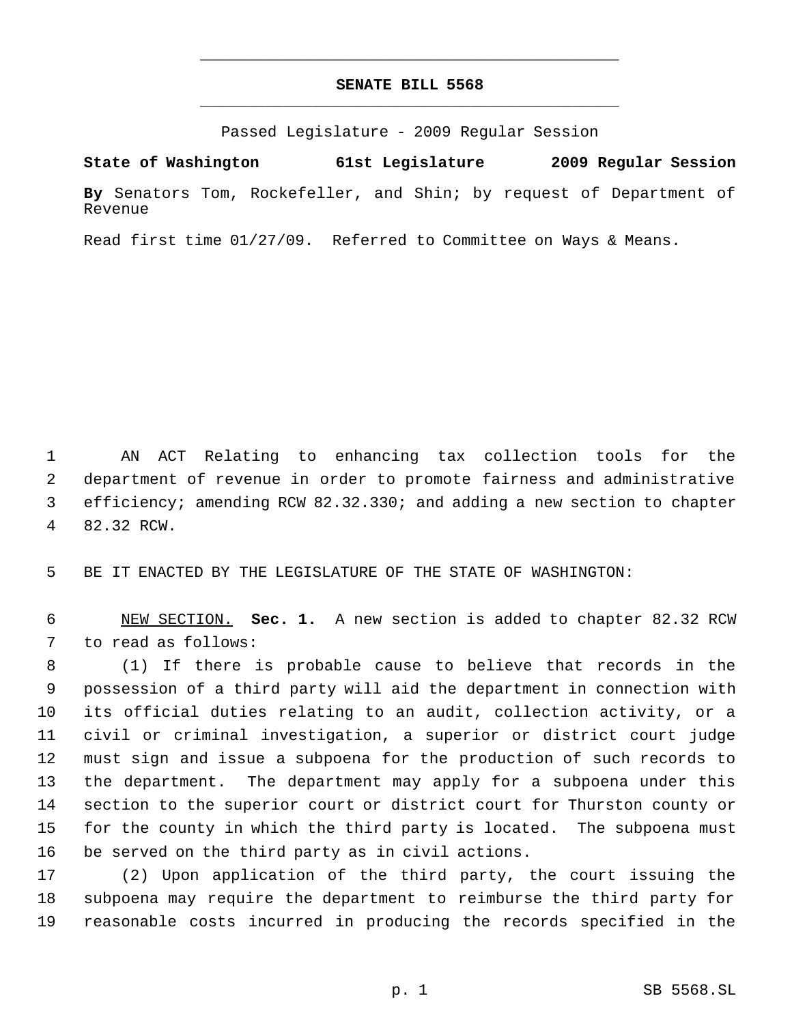## **SENATE BILL 5568** \_\_\_\_\_\_\_\_\_\_\_\_\_\_\_\_\_\_\_\_\_\_\_\_\_\_\_\_\_\_\_\_\_\_\_\_\_\_\_\_\_\_\_\_\_

\_\_\_\_\_\_\_\_\_\_\_\_\_\_\_\_\_\_\_\_\_\_\_\_\_\_\_\_\_\_\_\_\_\_\_\_\_\_\_\_\_\_\_\_\_

Passed Legislature - 2009 Regular Session

**State of Washington 61st Legislature 2009 Regular Session**

**By** Senators Tom, Rockefeller, and Shin; by request of Department of Revenue

Read first time 01/27/09. Referred to Committee on Ways & Means.

 AN ACT Relating to enhancing tax collection tools for the department of revenue in order to promote fairness and administrative efficiency; amending RCW 82.32.330; and adding a new section to chapter 82.32 RCW.

BE IT ENACTED BY THE LEGISLATURE OF THE STATE OF WASHINGTON:

 NEW SECTION. **Sec. 1.** A new section is added to chapter 82.32 RCW to read as follows:

 (1) If there is probable cause to believe that records in the possession of a third party will aid the department in connection with its official duties relating to an audit, collection activity, or a civil or criminal investigation, a superior or district court judge must sign and issue a subpoena for the production of such records to the department. The department may apply for a subpoena under this section to the superior court or district court for Thurston county or for the county in which the third party is located. The subpoena must be served on the third party as in civil actions.

 (2) Upon application of the third party, the court issuing the subpoena may require the department to reimburse the third party for reasonable costs incurred in producing the records specified in the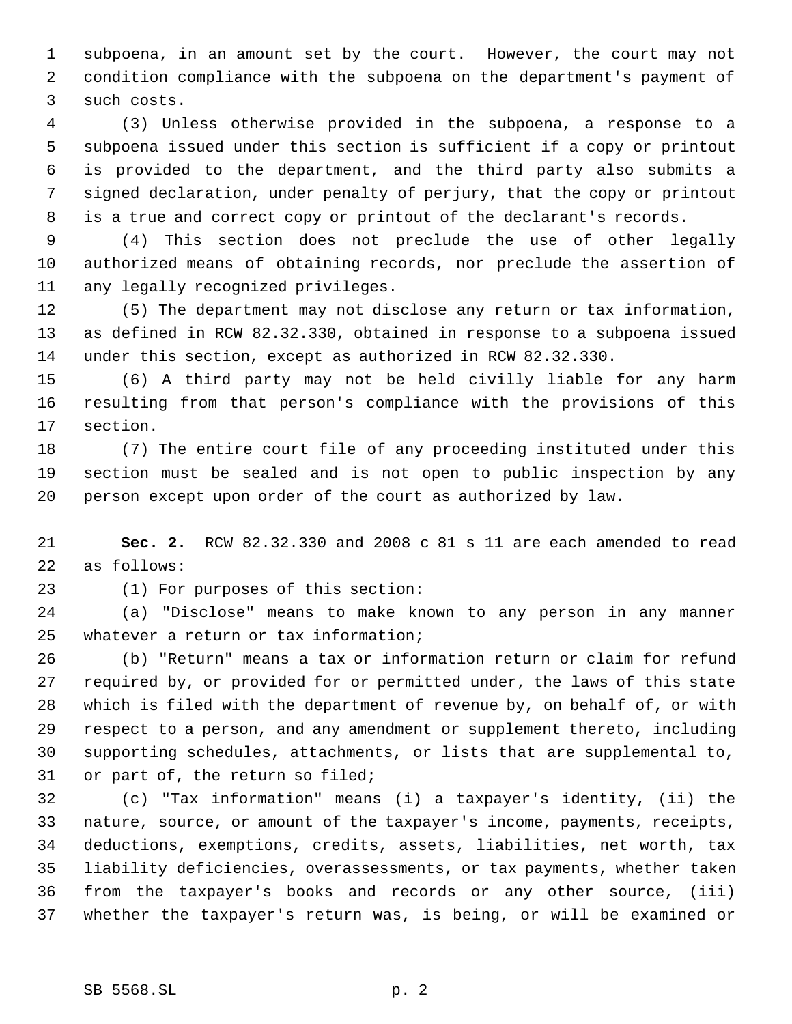subpoena, in an amount set by the court. However, the court may not condition compliance with the subpoena on the department's payment of such costs.

 (3) Unless otherwise provided in the subpoena, a response to a subpoena issued under this section is sufficient if a copy or printout is provided to the department, and the third party also submits a signed declaration, under penalty of perjury, that the copy or printout is a true and correct copy or printout of the declarant's records.

 (4) This section does not preclude the use of other legally authorized means of obtaining records, nor preclude the assertion of any legally recognized privileges.

 (5) The department may not disclose any return or tax information, as defined in RCW 82.32.330, obtained in response to a subpoena issued under this section, except as authorized in RCW 82.32.330.

 (6) A third party may not be held civilly liable for any harm resulting from that person's compliance with the provisions of this section.

 (7) The entire court file of any proceeding instituted under this section must be sealed and is not open to public inspection by any person except upon order of the court as authorized by law.

 **Sec. 2.** RCW 82.32.330 and 2008 c 81 s 11 are each amended to read as follows:

(1) For purposes of this section:

 (a) "Disclose" means to make known to any person in any manner whatever a return or tax information;

 (b) "Return" means a tax or information return or claim for refund required by, or provided for or permitted under, the laws of this state which is filed with the department of revenue by, on behalf of, or with respect to a person, and any amendment or supplement thereto, including supporting schedules, attachments, or lists that are supplemental to, or part of, the return so filed;

 (c) "Tax information" means (i) a taxpayer's identity, (ii) the nature, source, or amount of the taxpayer's income, payments, receipts, deductions, exemptions, credits, assets, liabilities, net worth, tax liability deficiencies, overassessments, or tax payments, whether taken from the taxpayer's books and records or any other source, (iii) whether the taxpayer's return was, is being, or will be examined or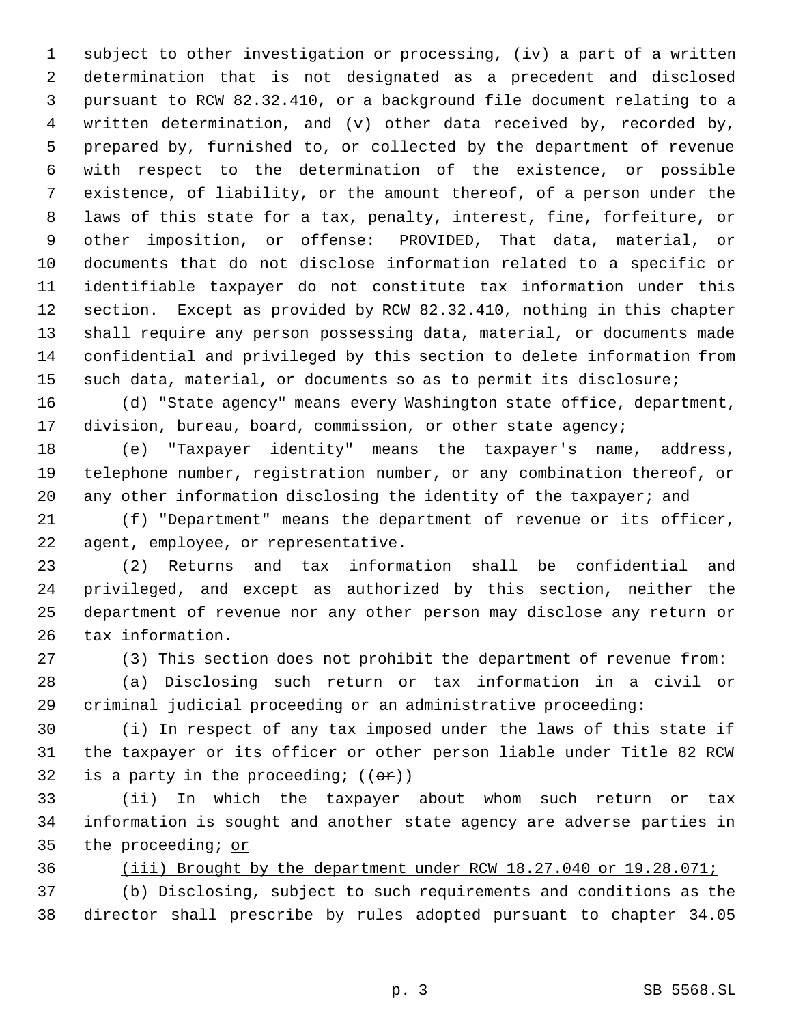subject to other investigation or processing, (iv) a part of a written determination that is not designated as a precedent and disclosed pursuant to RCW 82.32.410, or a background file document relating to a written determination, and (v) other data received by, recorded by, prepared by, furnished to, or collected by the department of revenue with respect to the determination of the existence, or possible existence, of liability, or the amount thereof, of a person under the laws of this state for a tax, penalty, interest, fine, forfeiture, or other imposition, or offense: PROVIDED, That data, material, or documents that do not disclose information related to a specific or identifiable taxpayer do not constitute tax information under this section. Except as provided by RCW 82.32.410, nothing in this chapter shall require any person possessing data, material, or documents made confidential and privileged by this section to delete information from such data, material, or documents so as to permit its disclosure;

 (d) "State agency" means every Washington state office, department, division, bureau, board, commission, or other state agency;

 (e) "Taxpayer identity" means the taxpayer's name, address, telephone number, registration number, or any combination thereof, or 20 any other information disclosing the identity of the taxpayer; and

 (f) "Department" means the department of revenue or its officer, agent, employee, or representative.

 (2) Returns and tax information shall be confidential and privileged, and except as authorized by this section, neither the department of revenue nor any other person may disclose any return or tax information.

(3) This section does not prohibit the department of revenue from:

 (a) Disclosing such return or tax information in a civil or criminal judicial proceeding or an administrative proceeding:

 (i) In respect of any tax imposed under the laws of this state if the taxpayer or its officer or other person liable under Title 82 RCW 32 is a party in the proceeding;  $((\theta \cdot \hat{r}))$ 

 (ii) In which the taxpayer about whom such return or tax information is sought and another state agency are adverse parties in 35 the proceeding; or

(iii) Brought by the department under RCW 18.27.040 or 19.28.071;

 (b) Disclosing, subject to such requirements and conditions as the director shall prescribe by rules adopted pursuant to chapter 34.05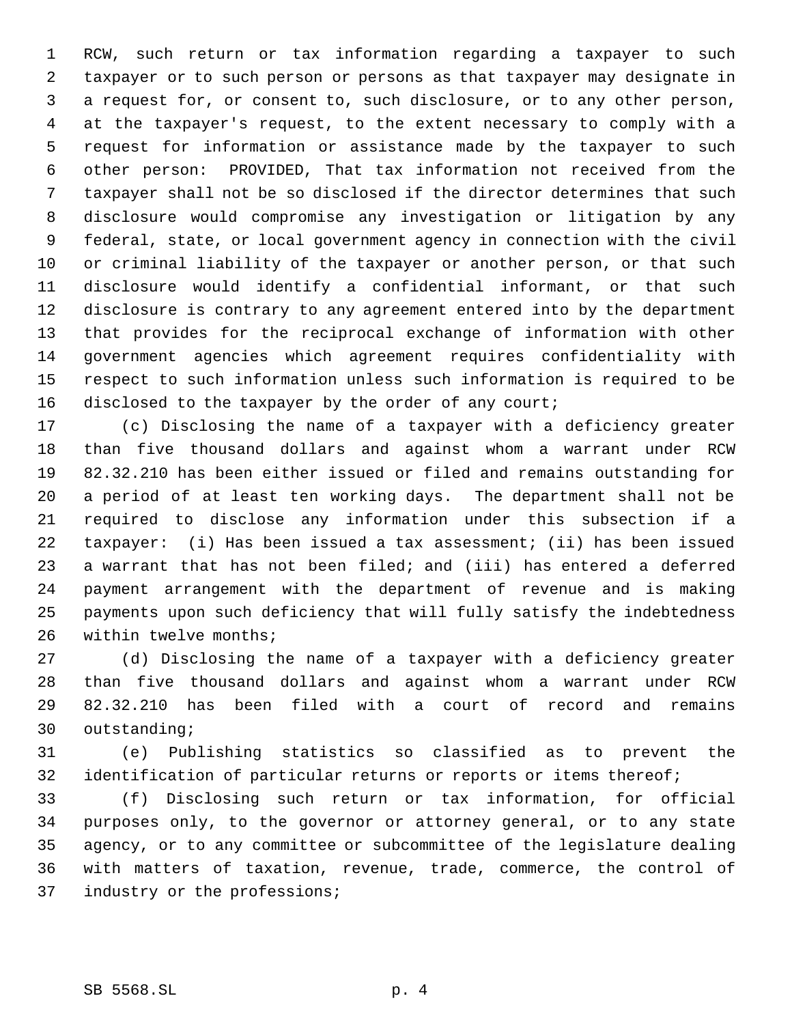RCW, such return or tax information regarding a taxpayer to such taxpayer or to such person or persons as that taxpayer may designate in a request for, or consent to, such disclosure, or to any other person, at the taxpayer's request, to the extent necessary to comply with a request for information or assistance made by the taxpayer to such other person: PROVIDED, That tax information not received from the taxpayer shall not be so disclosed if the director determines that such disclosure would compromise any investigation or litigation by any federal, state, or local government agency in connection with the civil or criminal liability of the taxpayer or another person, or that such disclosure would identify a confidential informant, or that such disclosure is contrary to any agreement entered into by the department that provides for the reciprocal exchange of information with other government agencies which agreement requires confidentiality with respect to such information unless such information is required to be 16 disclosed to the taxpayer by the order of any court;

 (c) Disclosing the name of a taxpayer with a deficiency greater than five thousand dollars and against whom a warrant under RCW 82.32.210 has been either issued or filed and remains outstanding for a period of at least ten working days. The department shall not be required to disclose any information under this subsection if a taxpayer: (i) Has been issued a tax assessment; (ii) has been issued a warrant that has not been filed; and (iii) has entered a deferred payment arrangement with the department of revenue and is making payments upon such deficiency that will fully satisfy the indebtedness within twelve months;

 (d) Disclosing the name of a taxpayer with a deficiency greater than five thousand dollars and against whom a warrant under RCW 82.32.210 has been filed with a court of record and remains outstanding;

 (e) Publishing statistics so classified as to prevent the 32 identification of particular returns or reports or items thereof;

 (f) Disclosing such return or tax information, for official purposes only, to the governor or attorney general, or to any state agency, or to any committee or subcommittee of the legislature dealing with matters of taxation, revenue, trade, commerce, the control of 37 industry or the professions;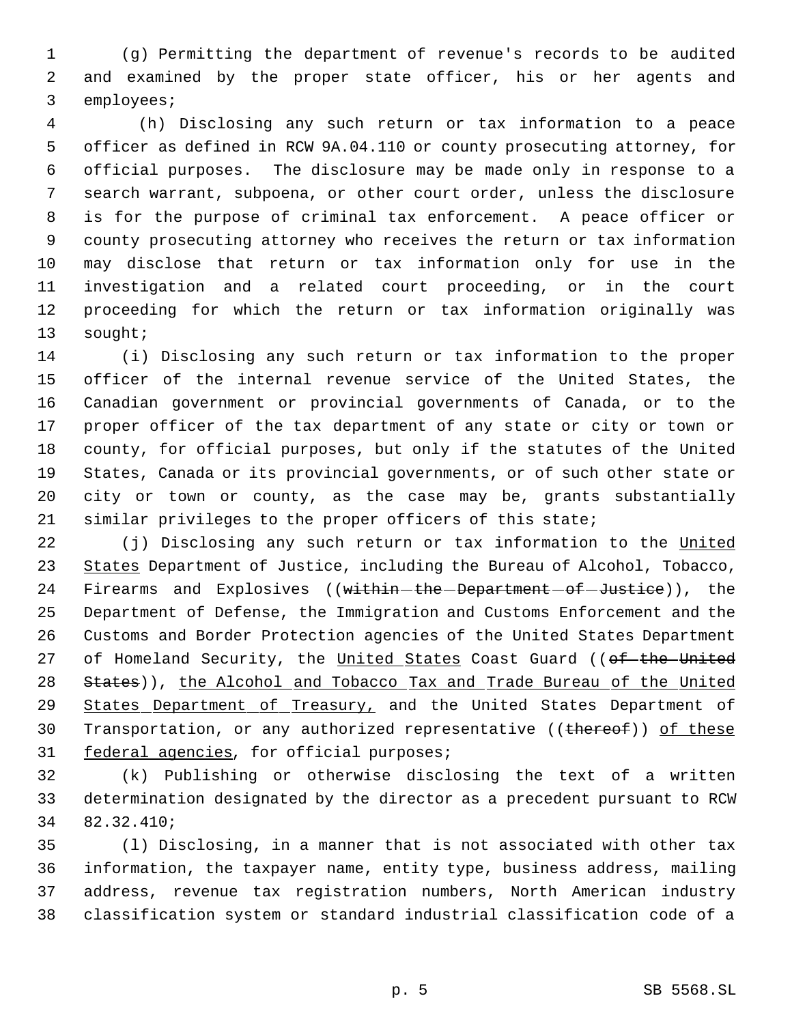(g) Permitting the department of revenue's records to be audited and examined by the proper state officer, his or her agents and employees;

 4 (h) Disclosing any such return or tax information to a peace officer as defined in RCW 9A.04.110 or county prosecuting attorney, for official purposes. The disclosure may be made only in response to a search warrant, subpoena, or other court order, unless the disclosure is for the purpose of criminal tax enforcement. A peace officer or county prosecuting attorney who receives the return or tax information may disclose that return or tax information only for use in the investigation and a related court proceeding, or in the court proceeding for which the return or tax information originally was sought;

 (i) Disclosing any such return or tax information to the proper officer of the internal revenue service of the United States, the Canadian government or provincial governments of Canada, or to the proper officer of the tax department of any state or city or town or county, for official purposes, but only if the statutes of the United States, Canada or its provincial governments, or of such other state or city or town or county, as the case may be, grants substantially similar privileges to the proper officers of this state;

22 (j) Disclosing any such return or tax information to the United 23 States Department of Justice, including the Bureau of Alcohol, Tobacco, 24 Firearms and Explosives ((within-the-Department-of-Justice)), the Department of Defense, the Immigration and Customs Enforcement and the Customs and Border Protection agencies of the United States Department 27 of Homeland Security, the United States Coast Guard ((of the United 28 States)), the Alcohol and Tobacco Tax and Trade Bureau of the United States Department of Treasury, and the United States Department of 30 Transportation, or any authorized representative ((thereof)) of these 31 federal agencies, for official purposes;

 (k) Publishing or otherwise disclosing the text of a written determination designated by the director as a precedent pursuant to RCW 82.32.410;

 (l) Disclosing, in a manner that is not associated with other tax information, the taxpayer name, entity type, business address, mailing address, revenue tax registration numbers, North American industry classification system or standard industrial classification code of a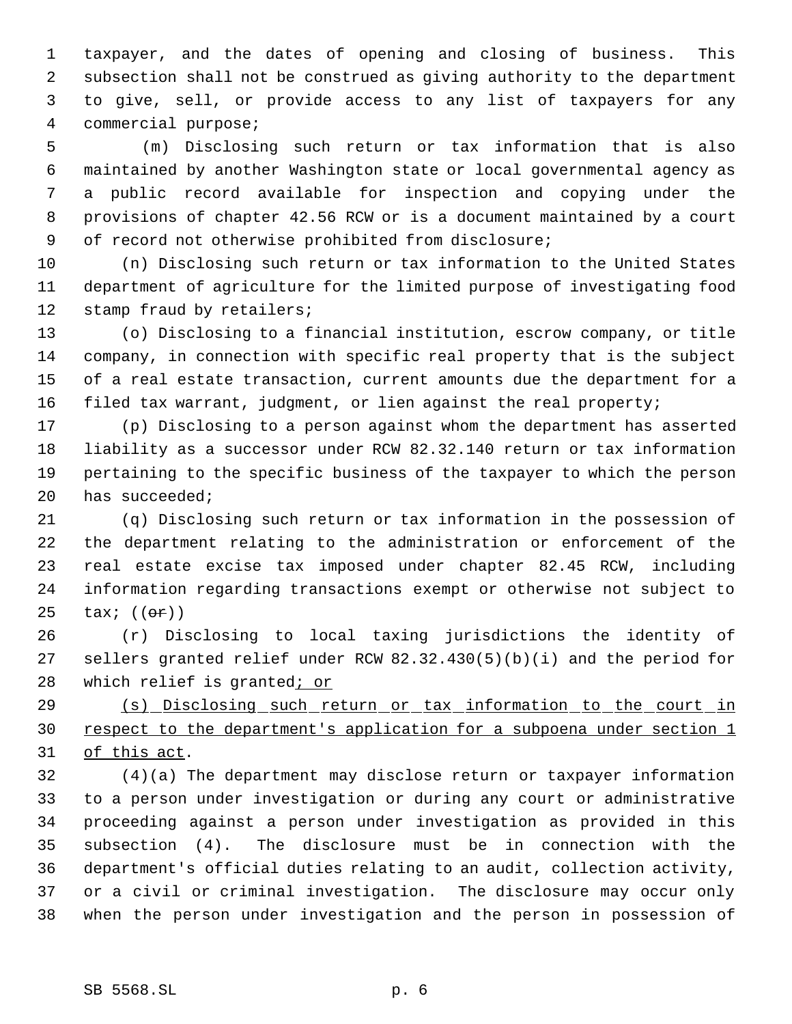taxpayer, and the dates of opening and closing of business. This subsection shall not be construed as giving authority to the department to give, sell, or provide access to any list of taxpayers for any commercial purpose;

 5 (m) Disclosing such return or tax information that is also maintained by another Washington state or local governmental agency as a public record available for inspection and copying under the provisions of chapter 42.56 RCW or is a document maintained by a court of record not otherwise prohibited from disclosure;

 (n) Disclosing such return or tax information to the United States department of agriculture for the limited purpose of investigating food 12 stamp fraud by retailers;

 (o) Disclosing to a financial institution, escrow company, or title company, in connection with specific real property that is the subject of a real estate transaction, current amounts due the department for a filed tax warrant, judgment, or lien against the real property;

 (p) Disclosing to a person against whom the department has asserted liability as a successor under RCW 82.32.140 return or tax information pertaining to the specific business of the taxpayer to which the person has succeeded;

 (q) Disclosing such return or tax information in the possession of the department relating to the administration or enforcement of the real estate excise tax imposed under chapter 82.45 RCW, including information regarding transactions exempt or otherwise not subject to  $\text{tax: } ((\text{or}))$ 

 (r) Disclosing to local taxing jurisdictions the identity of sellers granted relief under RCW 82.32.430(5)(b)(i) and the period for 28 which relief is granted; or

 (s) Disclosing such return or tax information to the court in 30 respect to the department's application for a subpoena under section 1 of this act.

 (4)(a) The department may disclose return or taxpayer information to a person under investigation or during any court or administrative proceeding against a person under investigation as provided in this subsection (4). The disclosure must be in connection with the department's official duties relating to an audit, collection activity, or a civil or criminal investigation. The disclosure may occur only when the person under investigation and the person in possession of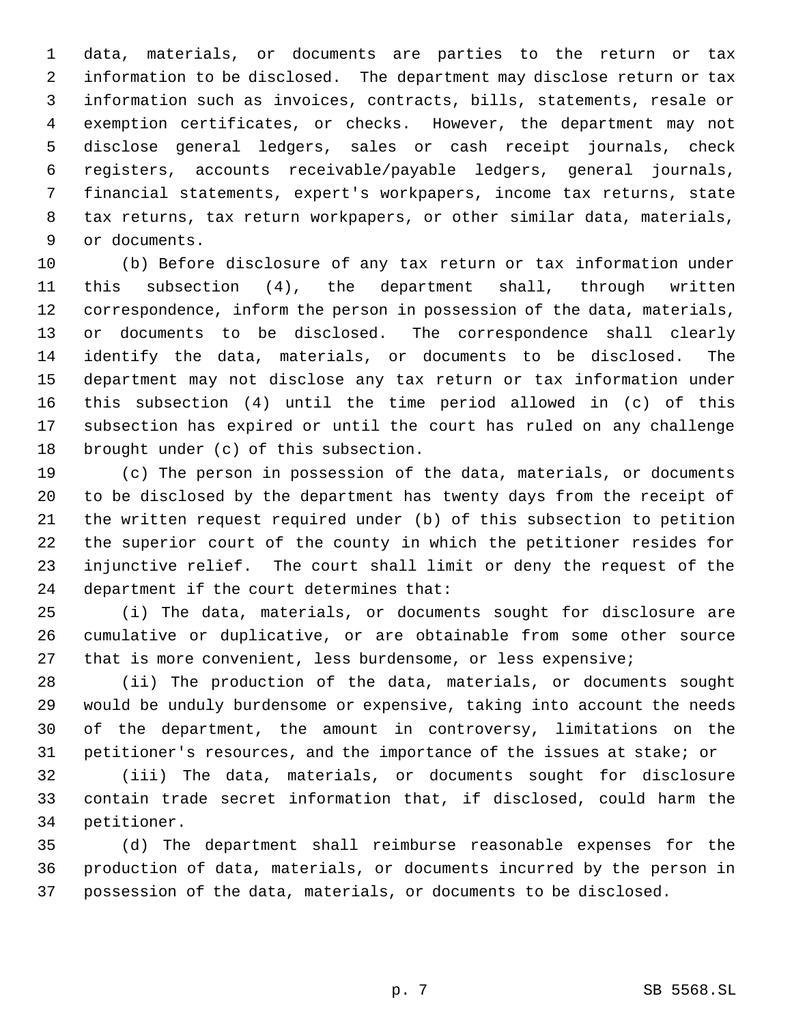data, materials, or documents are parties to the return or tax information to be disclosed. The department may disclose return or tax information such as invoices, contracts, bills, statements, resale or exemption certificates, or checks. However, the department may not disclose general ledgers, sales or cash receipt journals, check registers, accounts receivable/payable ledgers, general journals, financial statements, expert's workpapers, income tax returns, state tax returns, tax return workpapers, or other similar data, materials, or documents.

 (b) Before disclosure of any tax return or tax information under this subsection (4), the department shall, through written correspondence, inform the person in possession of the data, materials, or documents to be disclosed. The correspondence shall clearly identify the data, materials, or documents to be disclosed. The department may not disclose any tax return or tax information under this subsection (4) until the time period allowed in (c) of this subsection has expired or until the court has ruled on any challenge brought under (c) of this subsection.

 (c) The person in possession of the data, materials, or documents to be disclosed by the department has twenty days from the receipt of the written request required under (b) of this subsection to petition the superior court of the county in which the petitioner resides for injunctive relief. The court shall limit or deny the request of the department if the court determines that:

 (i) The data, materials, or documents sought for disclosure are cumulative or duplicative, or are obtainable from some other source that is more convenient, less burdensome, or less expensive;

 (ii) The production of the data, materials, or documents sought would be unduly burdensome or expensive, taking into account the needs of the department, the amount in controversy, limitations on the petitioner's resources, and the importance of the issues at stake; or

 (iii) The data, materials, or documents sought for disclosure contain trade secret information that, if disclosed, could harm the petitioner.

 (d) The department shall reimburse reasonable expenses for the production of data, materials, or documents incurred by the person in possession of the data, materials, or documents to be disclosed.